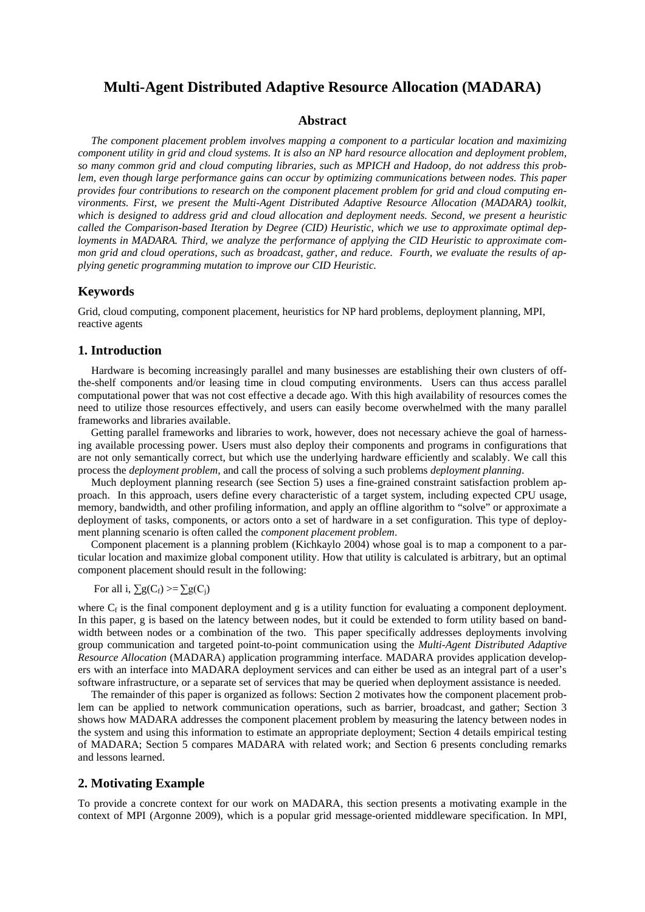## **Multi-Agent Distributed Adaptive Resource Allocation (MADARA)**

## **Abstract**

*The component placement problem involves mapping a component to a particular location and maximizing component utility in grid and cloud systems. It is also an NP hard resource allocation and deployment problem, so many common grid and cloud computing libraries, such as MPICH and Hadoop, do not address this problem, even though large performance gains can occur by optimizing communications between nodes. This paper provides four contributions to research on the component placement problem for grid and cloud computing environments. First, we present the Multi-Agent Distributed Adaptive Resource Allocation (MADARA) toolkit, which is designed to address grid and cloud allocation and deployment needs. Second, we present a heuristic called the Comparison-based Iteration by Degree (CID) Heuristic, which we use to approximate optimal deployments in MADARA. Third, we analyze the performance of applying the CID Heuristic to approximate com*mon grid and cloud operations, such as broadcast, gather, and reduce. Fourth, we evaluate the results of ap*plying genetic programming mutation to improve our CID Heuristic.*

## **Keywords**

Grid, cloud computing, component placement, heuristics for NP hard problems, deployment planning, MPI, reactive agents

## **1. Introduction**

Hardware is becoming increasingly parallel and many businesses are establishing their own clusters of offthe-shelf components and/or leasing time in cloud computing environments. Users can thus access parallel computational power that was not cost effective a decade ago. With this high availability of resources comes the need to utilize those resources effectively, and users can easily become overwhelmed with the many parallel frameworks and libraries available.

Getting parallel frameworks and libraries to work, however, does not necessary achieve the goal of harnessing available processing power. Users must also deploy their components and programs in configurations that are not only semantically correct, but which use the underlying hardware efficiently and scalably. We call this process the *deployment problem*, and call the process of solving a such problems *deployment planning*.

Much deployment planning research (see Section 5) uses a fine-grained constraint satisfaction problem approach. In this approach, users define every characteristic of a target system, including expected CPU usage, memory, bandwidth, and other profiling information, and apply an offline algorithm to "solve" or approximate a deployment of tasks, components, or actors onto a set of hardware in a set configuration. This type of deployment planning scenario is often called the *component placement problem*.

Component placement is a planning problem (Kichkaylo 2004) whose goal is to map a component to a particular location and maximize global component utility. How that utility is calculated is arbitrary, but an optimal component placement should result in the following:

For all i, 
$$
\sum g(C_f) \ge \sum g(C_j)
$$

where  $C_f$  is the final component deployment and g is a utility function for evaluating a component deployment. In this paper, g is based on the latency between nodes, but it could be extended to form utility based on bandwidth between nodes or a combination of the two. This paper specifically addresses deployments involving group communication and targeted point-to-point communication using the *Multi-Agent Distributed Adaptive Resource Allocation* (MADARA) application programming interface. MADARA provides application developers with an interface into MADARA deployment services and can either be used as an integral part of a user's software infrastructure, or a separate set of services that may be queried when deployment assistance is needed.

The remainder of this paper is organized as follows: Section 2 motivates how the component placement problem can be applied to network communication operations, such as barrier, broadcast, and gather; Section 3 shows how MADARA addresses the component placement problem by measuring the latency between nodes in the system and using this information to estimate an appropriate deployment; Section 4 details empirical testing of MADARA; Section 5 compares MADARA with related work; and Section 6 presents concluding remarks and lessons learned.

## **2. Motivating Example**

To provide a concrete context for our work on MADARA, this section presents a motivating example in the context of MPI (Argonne 2009), which is a popular grid message-oriented middleware specification. In MPI,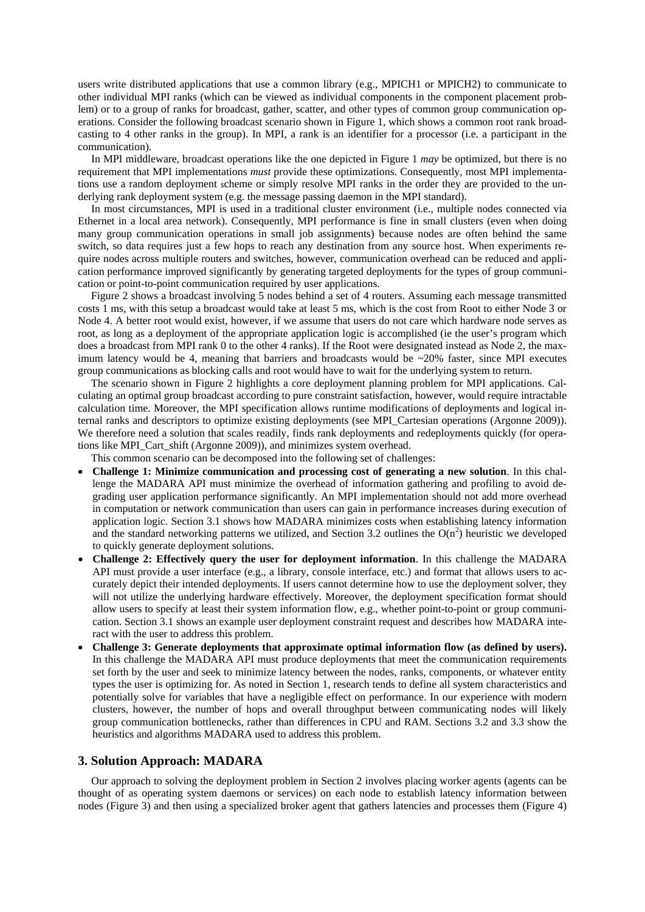users write distributed applications that use a common library (e.g., MPICH1 or MPICH2) to communicate to other individual MPI ranks (which can be viewed as individual components in the component placement problem) or to a group of ranks for broadcast, gather, scatter, and other types of common group communication operations. Consider the following broadcast scenario shown in Figure 1, which shows a common root rank broadcasting to 4 other ranks in the group). In MPI, a rank is an identifier for a processor (i.e. a participant in the communication).

In MPI middleware, broadcast operations like the one depicted in Figure 1 *may* be optimized, but there is no requirement that MPI implementations *must* provide these optimizations. Consequently, most MPI implementations use a random deployment scheme or simply resolve MPI ranks in the order they are provided to the underlying rank deployment system (e.g. the message passing daemon in the MPI standard).

In most circumstances, MPI is used in a traditional cluster environment (i.e., multiple nodes connected via Ethernet in a local area network). Consequently, MPI performance is fine in small clusters (even when doing many group communication operations in small job assignments) because nodes are often behind the same switch, so data requires just a few hops to reach any destination from any source host. When experiments require nodes across multiple routers and switches, however, communication overhead can be reduced and application performance improved significantly by generating targeted deployments for the types of group communication or point-to-point communication required by user applications.

Figure 2 shows a broadcast involving 5 nodes behind a set of 4 routers. Assuming each message transmitted costs 1 ms, with this setup a broadcast would take at least 5 ms, which is the cost from Root to either Node 3 or Node 4. A better root would exist, however, if we assume that users do not care which hardware node serves as root, as long as a deployment of the appropriate application logic is accomplished (ie the user's program which does a broadcast from MPI rank 0 to the other 4 ranks). If the Root were designated instead as Node 2, the maximum latency would be 4, meaning that barriers and broadcasts would be  $\sim$ 20% faster, since MPI executes group communications as blocking calls and root would have to wait for the underlying system to return.

The scenario shown in Figure 2 highlights a core deployment planning problem for MPI applications. Calculating an optimal group broadcast according to pure constraint satisfaction, however, would require intractable calculation time. Moreover, the MPI specification allows runtime modifications of deployments and logical internal ranks and descriptors to optimize existing deployments (see MPI\_Cartesian operations (Argonne 2009)). We therefore need a solution that scales readily, finds rank deployments and redeployments quickly (for operations like MPI\_Cart\_shift (Argonne 2009)), and minimizes system overhead.

This common scenario can be decomposed into the following set of challenges:

- **Challenge 1: Minimize communication and processing cost of generating a new solution**. In this challenge the MADARA API must minimize the overhead of information gathering and profiling to avoid degrading user application performance significantly. An MPI implementation should not add more overhead in computation or network communication than users can gain in performance increases during execution of application logic. Section 3.1 shows how MADARA minimizes costs when establishing latency information and the standard networking patterns we utilized, and Section 3.2 outlines the  $O(n^2)$  heuristic we developed to quickly generate deployment solutions.
- **Challenge 2: Effectively query the user for deployment information**. In this challenge the MADARA API must provide a user interface (e.g., a library, console interface, etc.) and format that allows users to accurately depict their intended deployments. If users cannot determine how to use the deployment solver, they will not utilize the underlying hardware effectively. Moreover, the deployment specification format should allow users to specify at least their system information flow, e.g., whether point-to-point or group communication. Section 3.1 shows an example user deployment constraint request and describes how MADARA interact with the user to address this problem.
- **Challenge 3: Generate deployments that approximate optimal information flow (as defined by users).** In this challenge the MADARA API must produce deployments that meet the communication requirements set forth by the user and seek to minimize latency between the nodes, ranks, components, or whatever entity types the user is optimizing for. As noted in Section 1, research tends to define all system characteristics and potentially solve for variables that have a negligible effect on performance. In our experience with modern clusters, however, the number of hops and overall throughput between communicating nodes will likely group communication bottlenecks, rather than differences in CPU and RAM. Sections 3.2 and 3.3 show the heuristics and algorithms MADARA used to address this problem.

## **3. Solution Approach: MADARA**

Our approach to solving the deployment problem in Section 2 involves placing worker agents (agents can be thought of as operating system daemons or services) on each node to establish latency information between nodes (Figure 3) and then using a specialized broker agent that gathers latencies and processes them (Figure 4)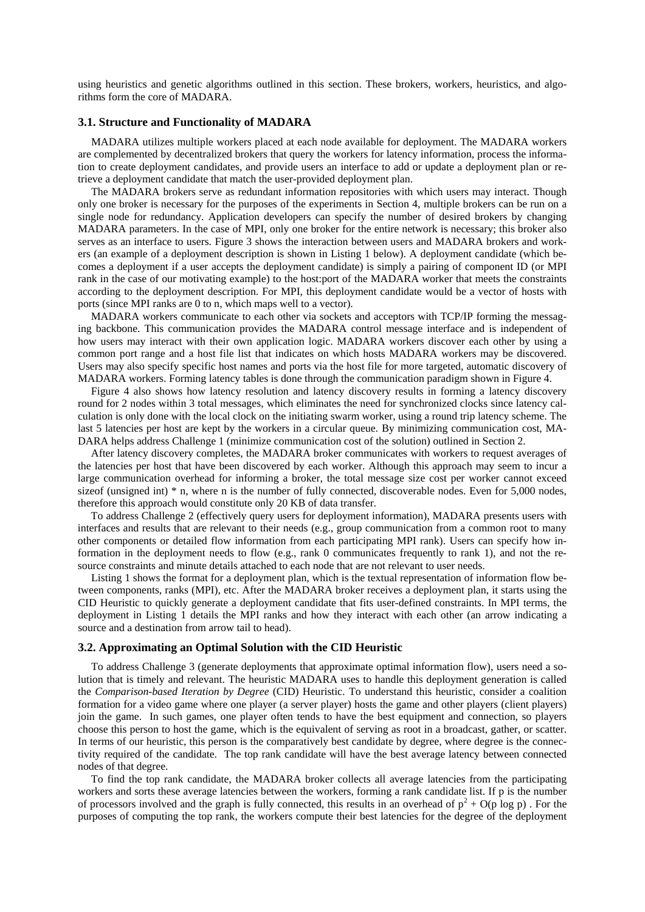using heuristics and genetic algorithms outlined in this section. These brokers, workers, heuristics, and algorithms form the core of MADARA.

#### **3.1. Structure and Functionality of MADARA**

MADARA utilizes multiple workers placed at each node available for deployment. The MADARA workers are complemented by decentralized brokers that query the workers for latency information, process the information to create deployment candidates, and provide users an interface to add or update a deployment plan or retrieve a deployment candidate that match the user-provided deployment plan.

The MADARA brokers serve as redundant information repositories with which users may interact. Though only one broker is necessary for the purposes of the experiments in Section 4, multiple brokers can be run on a single node for redundancy. Application developers can specify the number of desired brokers by changing MADARA parameters. In the case of MPI, only one broker for the entire network is necessary; this broker also serves as an interface to users. Figure 3 shows the interaction between users and MADARA brokers and workers (an example of a deployment description is shown in Listing 1 below). A deployment candidate (which becomes a deployment if a user accepts the deployment candidate) is simply a pairing of component ID (or MPI rank in the case of our motivating example) to the host:port of the MADARA worker that meets the constraints according to the deployment description. For MPI, this deployment candidate would be a vector of hosts with ports (since MPI ranks are 0 to n, which maps well to a vector).

MADARA workers communicate to each other via sockets and acceptors with TCP/IP forming the messaging backbone. This communication provides the MADARA control message interface and is independent of how users may interact with their own application logic. MADARA workers discover each other by using a common port range and a host file list that indicates on which hosts MADARA workers may be discovered. Users may also specify specific host names and ports via the host file for more targeted, automatic discovery of MADARA workers. Forming latency tables is done through the communication paradigm shown in Figure 4.

Figure 4 also shows how latency resolution and latency discovery results in forming a latency discovery round for 2 nodes within 3 total messages, which eliminates the need for synchronized clocks since latency calculation is only done with the local clock on the initiating swarm worker, using a round trip latency scheme. The last 5 latencies per host are kept by the workers in a circular queue. By minimizing communication cost, MA-DARA helps address Challenge 1 (minimize communication cost of the solution) outlined in Section 2.

After latency discovery completes, the MADARA broker communicates with workers to request averages of the latencies per host that have been discovered by each worker. Although this approach may seem to incur a large communication overhead for informing a broker, the total message size cost per worker cannot exceed sizeof (unsigned int) \* n, where n is the number of fully connected, discoverable nodes. Even for 5,000 nodes, therefore this approach would constitute only 20 KB of data transfer.

To address Challenge 2 (effectively query users for deployment information), MADARA presents users with interfaces and results that are relevant to their needs (e.g., group communication from a common root to many other components or detailed flow information from each participating MPI rank). Users can specify how information in the deployment needs to flow (e.g., rank 0 communicates frequently to rank 1), and not the resource constraints and minute details attached to each node that are not relevant to user needs.

Listing 1 shows the format for a deployment plan, which is the textual representation of information flow between components, ranks (MPI), etc. After the MADARA broker receives a deployment plan, it starts using the CID Heuristic to quickly generate a deployment candidate that fits user-defined constraints. In MPI terms, the deployment in Listing 1 details the MPI ranks and how they interact with each other (an arrow indicating a source and a destination from arrow tail to head).

#### **3.2. Approximating an Optimal Solution with the CID Heuristic**

To address Challenge 3 (generate deployments that approximate optimal information flow), users need a solution that is timely and relevant. The heuristic MADARA uses to handle this deployment generation is called the *Comparison-based Iteration by Degree* (CID) Heuristic. To understand this heuristic, consider a coalition formation for a video game where one player (a server player) hosts the game and other players (client players) join the game. In such games, one player often tends to have the best equipment and connection, so players choose this person to host the game, which is the equivalent of serving as root in a broadcast, gather, or scatter. In terms of our heuristic, this person is the comparatively best candidate by degree, where degree is the connectivity required of the candidate. The top rank candidate will have the best average latency between connected nodes of that degree.

To find the top rank candidate, the MADARA broker collects all average latencies from the participating workers and sorts these average latencies between the workers, forming a rank candidate list. If p is the number of processors involved and the graph is fully connected, this results in an overhead of  $p^2 + O(p \log p)$ . For the purposes of computing the top rank, the workers compute their best latencies for the degree of the deployment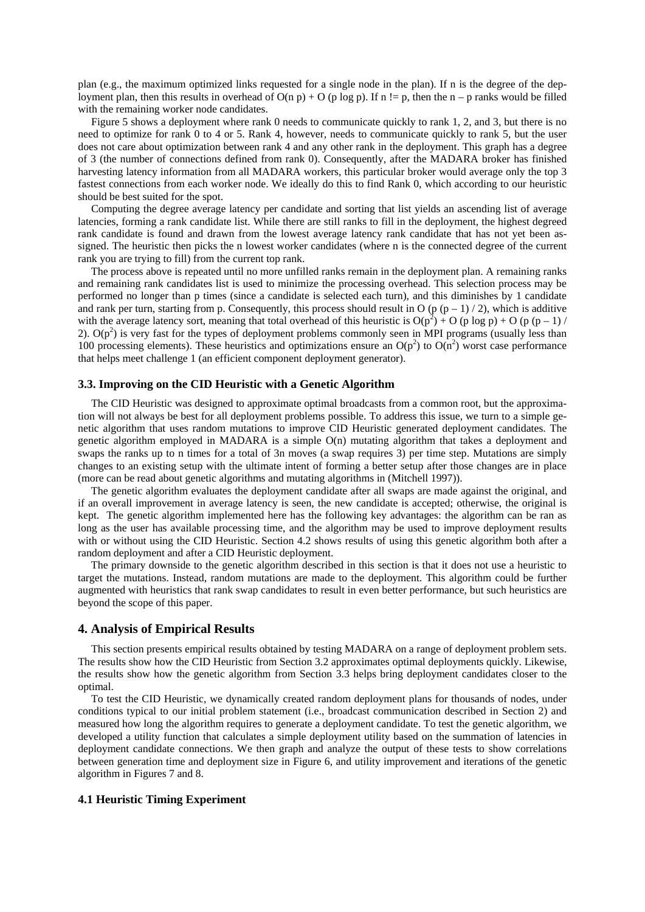plan (e.g., the maximum optimized links requested for a single node in the plan). If n is the degree of the deployment plan, then this results in overhead of  $O(n p) + O (p \log p)$ . If n != p, then the n – p ranks would be filled with the remaining worker node candidates.

Figure 5 shows a deployment where rank 0 needs to communicate quickly to rank 1, 2, and 3, but there is no need to optimize for rank 0 to 4 or 5. Rank 4, however, needs to communicate quickly to rank 5, but the user does not care about optimization between rank 4 and any other rank in the deployment. This graph has a degree of 3 (the number of connections defined from rank 0). Consequently, after the MADARA broker has finished harvesting latency information from all MADARA workers, this particular broker would average only the top 3 fastest connections from each worker node. We ideally do this to find Rank 0, which according to our heuristic should be best suited for the spot.

Computing the degree average latency per candidate and sorting that list yields an ascending list of average latencies, forming a rank candidate list. While there are still ranks to fill in the deployment, the highest degreed rank candidate is found and drawn from the lowest average latency rank candidate that has not vet been assigned. The heuristic then picks the n lowest worker candidates (where n is the connected degree of the current rank you are trying to fill) from the current top rank.

The process above is repeated until no more unfilled ranks remain in the deployment plan. A remaining ranks and remaining rank candidates list is used to minimize the processing overhead. This selection process may be performed no longer than p times (since a candidate is selected each turn), and this diminishes by 1 candidate and rank per turn, starting from p. Consequently, this process should result in O (p  $(p - 1) / 2$ ), which is additive with the average latency sort, meaning that total overhead of this heuristic is  $O(p^2) + O(p \log p) + O(p (p - 1)$ 2).  $O(p^2)$  is very fast for the types of deployment problems commonly seen in MPI programs (usually less than 100 processing elements). These heuristics and optimizations ensure an  $O(p^2)$  to  $O(n^2)$  worst case performance that helps meet challenge 1 (an efficient component deployment generator).

## **3.3. Improving on the CID Heuristic with a Genetic Algorithm**

The CID Heuristic was designed to approximate optimal broadcasts from a common root, but the approximation will not always be best for all deployment problems possible. To address this issue, we turn to a simple genetic algorithm that uses random mutations to improve CID Heuristic generated deployment candidates. The genetic algorithm employed in MADARA is a simple O(n) mutating algorithm that takes a deployment and swaps the ranks up to n times for a total of 3n moves (a swap requires 3) per time step. Mutations are simply changes to an existing setup with the ultimate intent of forming a better setup after those changes are in place (more can be read about genetic algorithms and mutating algorithms in (Mitchell 1997)).

The genetic algorithm evaluates the deployment candidate after all swaps are made against the original, and if an overall improvement in average latency is seen, the new candidate is accepted; otherwise, the original is kept. The genetic algorithm implemented here has the following key advantages: the algorithm can be ran as long as the user has available processing time, and the algorithm may be used to improve deployment results with or without using the CID Heuristic. Section 4.2 shows results of using this genetic algorithm both after a random deployment and after a CID Heuristic deployment.

The primary downside to the genetic algorithm described in this section is that it does not use a heuristic to target the mutations. Instead, random mutations are made to the deployment. This algorithm could be further augmented with heuristics that rank swap candidates to result in even better performance, but such heuristics are beyond the scope of this paper.

#### **4. Analysis of Empirical Results**

This section presents empirical results obtained by testing MADARA on a range of deployment problem sets. The results show how the CID Heuristic from Section 3.2 approximates optimal deployments quickly. Likewise, the results show how the genetic algorithm from Section 3.3 helps bring deployment candidates closer to the optimal.

To test the CID Heuristic, we dynamically created random deployment plans for thousands of nodes, under conditions typical to our initial problem statement (i.e., broadcast communication described in Section 2) and measured how long the algorithm requires to generate a deployment candidate. To test the genetic algorithm, we developed a utility function that calculates a simple deployment utility based on the summation of latencies in deployment candidate connections. We then graph and analyze the output of these tests to show correlations between generation time and deployment size in Figure 6, and utility improvement and iterations of the genetic algorithm in Figures 7 and 8.

#### **4.1 Heuristic Timing Experiment**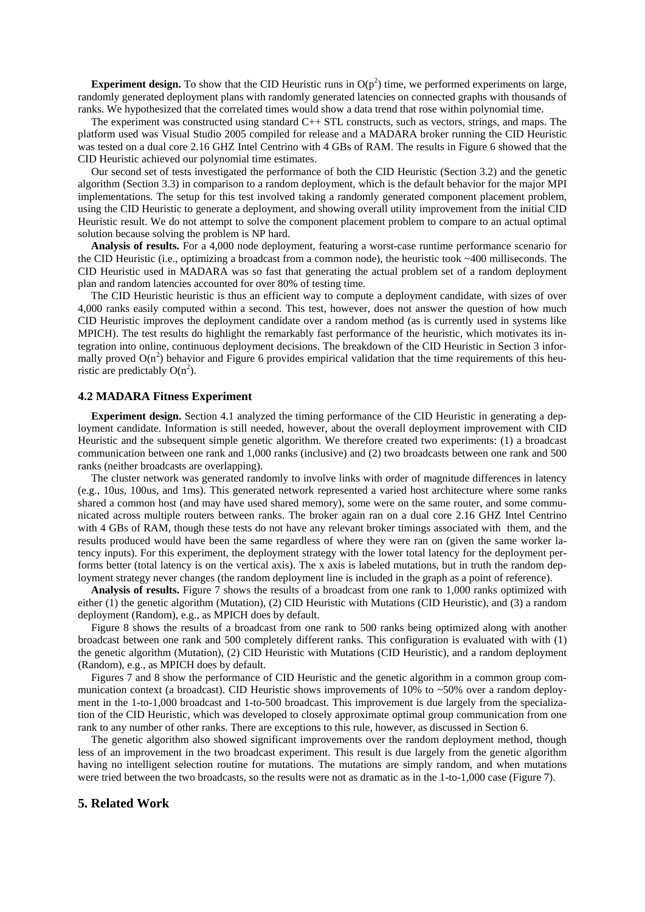**Experiment design.** To show that the CID Heuristic runs in  $O(p^2)$  time, we performed experiments on large, randomly generated deployment plans with randomly generated latencies on connected graphs with thousands of ranks. We hypothesized that the correlated times would show a data trend that rose within polynomial time.

The experiment was constructed using standard C++ STL constructs, such as vectors, strings, and maps. The platform used was Visual Studio 2005 compiled for release and a MADARA broker running the CID Heuristic was tested on a dual core 2.16 GHZ Intel Centrino with 4 GBs of RAM. The results in Figure 6 showed that the CID Heuristic achieved our polynomial time estimates.

Our second set of tests investigated the performance of both the CID Heuristic (Section 3.2) and the genetic algorithm (Section 3.3) in comparison to a random deployment, which is the default behavior for the major MPI implementations. The setup for this test involved taking a randomly generated component placement problem, using the CID Heuristic to generate a deployment, and showing overall utility improvement from the initial CID Heuristic result. We do not attempt to solve the component placement problem to compare to an actual optimal solution because solving the problem is NP hard.

**Analysis of results.** For a 4,000 node deployment, featuring a worst-case runtime performance scenario for the CID Heuristic (i.e., optimizing a broadcast from a common node), the heuristic took ~400 milliseconds. The CID Heuristic used in MADARA was so fast that generating the actual problem set of a random deployment plan and random latencies accounted for over 80% of testing time.

The CID Heuristic heuristic is thus an efficient way to compute a deployment candidate, with sizes of over 4,000 ranks easily computed within a second. This test, however, does not answer the question of how much CID Heuristic improves the deployment candidate over a random method (as is currently used in systems like MPICH). The test results do highlight the remarkably fast performance of the heuristic, which motivates its integration into online, continuous deployment decisions. The breakdown of the CID Heuristic in Section 3 informally proved  $O(n^2)$  behavior and Figure 6 provides empirical validation that the time requirements of this heuristic are predictably  $O(n^2)$ .

#### **4.2 MADARA Fitness Experiment**

**Experiment design.** Section 4.1 analyzed the timing performance of the CID Heuristic in generating a deployment candidate. Information is still needed, however, about the overall deployment improvement with CID Heuristic and the subsequent simple genetic algorithm. We therefore created two experiments: (1) a broadcast communication between one rank and 1,000 ranks (inclusive) and (2) two broadcasts between one rank and 500 ranks (neither broadcasts are overlapping).

The cluster network was generated randomly to involve links with order of magnitude differences in latency (e.g., 10us, 100us, and 1ms). This generated network represented a varied host architecture where some ranks shared a common host (and may have used shared memory), some were on the same router, and some communicated across multiple routers between ranks. The broker again ran on a dual core 2.16 GHZ Intel Centrino with 4 GBs of RAM, though these tests do not have any relevant broker timings associated with them, and the results produced would have been the same regardless of where they were ran on (given the same worker latency inputs). For this experiment, the deployment strategy with the lower total latency for the deployment performs better (total latency is on the vertical axis). The x axis is labeled mutations, but in truth the random deployment strategy never changes (the random deployment line is included in the graph as a point of reference).

**Analysis of results.** Figure 7 shows the results of a broadcast from one rank to 1,000 ranks optimized with either (1) the genetic algorithm (Mutation), (2) CID Heuristic with Mutations (CID Heuristic), and (3) a random deployment (Random), e.g., as MPICH does by default.

Figure 8 shows the results of a broadcast from one rank to 500 ranks being optimized along with another broadcast between one rank and 500 completely different ranks. This configuration is evaluated with with (1) the genetic algorithm (Mutation), (2) CID Heuristic with Mutations (CID Heuristic), and a random deployment (Random), e.g., as MPICH does by default.

Figures 7 and 8 show the performance of CID Heuristic and the genetic algorithm in a common group communication context (a broadcast). CID Heuristic shows improvements of 10% to  $\sim$ 50% over a random deployment in the 1-to-1,000 broadcast and 1-to-500 broadcast. This improvement is due largely from the specialization of the CID Heuristic, which was developed to closely approximate optimal group communication from one rank to any number of other ranks. There are exceptions to this rule, however, as discussed in Section 6.

The genetic algorithm also showed significant improvements over the random deployment method, though less of an improvement in the two broadcast experiment. This result is due largely from the genetic algorithm having no intelligent selection routine for mutations. The mutations are simply random, and when mutations were tried between the two broadcasts, so the results were not as dramatic as in the 1-to-1,000 case (Figure 7).

#### **5. Related Work**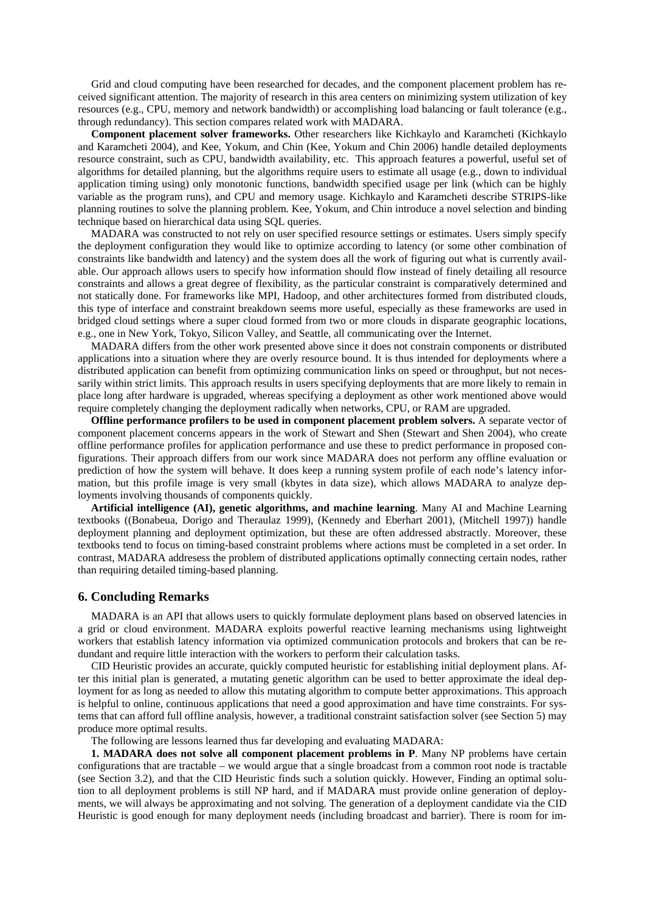Grid and cloud computing have been researched for decades, and the component placement problem has received significant attention. The majority of research in this area centers on minimizing system utilization of key resources (e.g., CPU, memory and network bandwidth) or accomplishing load balancing or fault tolerance (e.g., through redundancy). This section compares related work with MADARA.

**Component placement solver frameworks.** Other researchers like Kichkaylo and Karamcheti (Kichkaylo and Karamcheti 2004), and Kee, Yokum, and Chin (Kee, Yokum and Chin 2006) handle detailed deployments resource constraint, such as CPU, bandwidth availability, etc. This approach features a powerful, useful set of algorithms for detailed planning, but the algorithms require users to estimate all usage (e.g., down to individual application timing using) only monotonic functions, bandwidth specified usage per link (which can be highly variable as the program runs), and CPU and memory usage. Kichkaylo and Karamcheti describe STRIPS-like planning routines to solve the planning problem. Kee, Yokum, and Chin introduce a novel selection and binding technique based on hierarchical data using SQL queries.

MADARA was constructed to not rely on user specified resource settings or estimates. Users simply specify the deployment configuration they would like to optimize according to latency (or some other combination of constraints like bandwidth and latency) and the system does all the work of figuring out what is currently available. Our approach allows users to specify how information should flow instead of finely detailing all resource constraints and allows a great degree of flexibility, as the particular constraint is comparatively determined and not statically done. For frameworks like MPI, Hadoop, and other architectures formed from distributed clouds, this type of interface and constraint breakdown seems more useful, especially as these frameworks are used in bridged cloud settings where a super cloud formed from two or more clouds in disparate geographic locations, e.g., one in New York, Tokyo, Silicon Valley, and Seattle, all communicating over the Internet.

MADARA differs from the other work presented above since it does not constrain components or distributed applications into a situation where they are overly resource bound. It is thus intended for deployments where a distributed application can benefit from optimizing communication links on speed or throughput, but not necessarily within strict limits. This approach results in users specifying deployments that are more likely to remain in place long after hardware is upgraded, whereas specifying a deployment as other work mentioned above would require completely changing the deployment radically when networks, CPU, or RAM are upgraded.

**Offline performance profilers to be used in component placement problem solvers.** A separate vector of component placement concerns appears in the work of Stewart and Shen (Stewart and Shen 2004), who create offline performance profiles for application performance and use these to predict performance in proposed configurations. Their approach differs from our work since MADARA does not perform any offline evaluation or prediction of how the system will behave. It does keep a running system profile of each node's latency information, but this profile image is very small (kbytes in data size), which allows MADARA to analyze deployments involving thousands of components quickly.

**Artificial intelligence (AI), genetic algorithms, and machine learning**. Many AI and Machine Learning textbooks ((Bonabeua, Dorigo and Theraulaz 1999), (Kennedy and Eberhart 2001), (Mitchell 1997)) handle deployment planning and deployment optimization, but these are often addressed abstractly. Moreover, these textbooks tend to focus on timing-based constraint problems where actions must be completed in a set order. In contrast, MADARA addresess the problem of distributed applications optimally connecting certain nodes, rather than requiring detailed timing-based planning.

#### **6. Concluding Remarks**

MADARA is an API that allows users to quickly formulate deployment plans based on observed latencies in a grid or cloud environment. MADARA exploits powerful reactive learning mechanisms using lightweight workers that establish latency information via optimized communication protocols and brokers that can be redundant and require little interaction with the workers to perform their calculation tasks.

CID Heuristic provides an accurate, quickly computed heuristic for establishing initial deployment plans. After this initial plan is generated, a mutating genetic algorithm can be used to better approximate the ideal deployment for as long as needed to allow this mutating algorithm to compute better approximations. This approach is helpful to online, continuous applications that need a good approximation and have time constraints. For systems that can afford full offline analysis, however, a traditional constraint satisfaction solver (see Section 5) may produce more optimal results.

#### The following are lessons learned thus far developing and evaluating MADARA:

**1. MADARA does not solve all component placement problems in P**. Many NP problems have certain configurations that are tractable – we would argue that a single broadcast from a common root node is tractable (see Section 3.2), and that the CID Heuristic finds such a solution quickly. However, Finding an optimal solution to all deployment problems is still NP hard, and if MADARA must provide online generation of deployments, we will always be approximating and not solving. The generation of a deployment candidate via the CID Heuristic is good enough for many deployment needs (including broadcast and barrier). There is room for im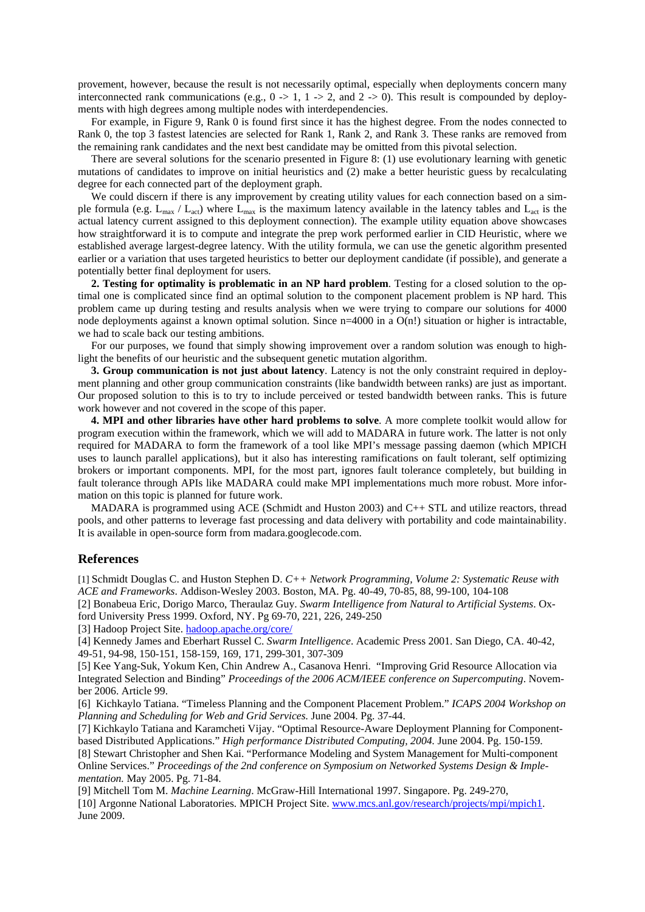provement, however, because the result is not necessarily optimal, especially when deployments concern many interconnected rank communications (e.g.,  $0 \rightarrow 1$ ,  $1 \rightarrow 2$ , and  $2 \rightarrow 0$ ). This result is compounded by deployments with high degrees among multiple nodes with interdependencies.

For example, in Figure 9, Rank 0 is found first since it has the highest degree. From the nodes connected to Rank 0, the top 3 fastest latencies are selected for Rank 1, Rank 2, and Rank 3. These ranks are removed from the remaining rank candidates and the next best candidate may be omitted from this pivotal selection.

There are several solutions for the scenario presented in Figure 8: (1) use evolutionary learning with genetic mutations of candidates to improve on initial heuristics and (2) make a better heuristic guess by recalculating degree for each connected part of the deployment graph.

We could discern if there is any improvement by creating utility values for each connection based on a simple formula (e.g.  $L_{max} / L_{act}$ ) where  $L_{max}$  is the maximum latency available in the latency tables and  $L_{act}$  is the actual latency current assigned to this deployment connection). The example utility equation above showcases how straightforward it is to compute and integrate the prep work performed earlier in CID Heuristic, where we established average largest-degree latency. With the utility formula, we can use the genetic algorithm presented earlier or a variation that uses targeted heuristics to better our deployment candidate (if possible), and generate a potentially better final deployment for users.

**2. Testing for optimality is problematic in an NP hard problem**. Testing for a closed solution to the optimal one is complicated since find an optimal solution to the component placement problem is NP hard. This problem came up during testing and results analysis when we were trying to compare our solutions for 4000 node deployments against a known optimal solution. Since  $n=4000$  in a  $O(n!)$  situation or higher is intractable, we had to scale back our testing ambitions.

For our purposes, we found that simply showing improvement over a random solution was enough to highlight the benefits of our heuristic and the subsequent genetic mutation algorithm.

**3. Group communication is not just about latency**. Latency is not the only constraint required in deployment planning and other group communication constraints (like bandwidth between ranks) are just as important. Our proposed solution to this is to try to include perceived or tested bandwidth between ranks. This is future work however and not covered in the scope of this paper.

**4. MPI and other libraries have other hard problems to solve**. A more complete toolkit would allow for program execution within the framework, which we will add to MADARA in future work. The latter is not only required for MADARA to form the framework of a tool like MPI's message passing daemon (which MPICH uses to launch parallel applications), but it also has interesting ramifications on fault tolerant, self optimizing brokers or important components. MPI, for the most part, ignores fault tolerance completely, but building in fault tolerance through APIs like MADARA could make MPI implementations much more robust. More information on this topic is planned for future work.

MADARA is programmed using ACE (Schmidt and Huston 2003) and C++ STL and utilize reactors, thread pools, and other patterns to leverage fast processing and data delivery with portability and code maintainability. It is available in open-source form from madara.googlecode.com.

## **References**

[1] Schmidt Douglas C. and Huston Stephen D. *C++ Network Programming, Volume 2: Systematic Reuse with ACE and Frameworks*. Addison-Wesley 2003. Boston, MA. Pg. 40-49, 70-85, 88, 99-100, 104-108

[2] Bonabeua Eric, Dorigo Marco, Theraulaz Guy. *Swarm Intelligence from Natural to Artificial Systems*. Oxford University Press 1999. Oxford, NY. Pg 69-70, 221, 226, 249-250

[3] Hadoop Project Site[. hadoop.apache.org/core/](http://hadoop.apache.org/core/)

[4] Kennedy James and Eberhart Russel C. *Swarm Intelligence*. Academic Press 2001. San Diego, CA. 40-42, 49-51, 94-98, 150-151, 158-159, 169, 171, 299-301, 307-309

[5] Kee Yang-Suk, Yokum Ken, Chin Andrew A., Casanova Henri. "Improving Grid Resource Allocation via Integrated Selection and Binding" *Proceedings of the 2006 ACM/IEEE conference on Supercomputing*. November 2006. Article 99.

[6] Kichkaylo Tatiana. "Timeless Planning and the Component Placement Problem." *ICAPS 2004 Workshop on Planning and Scheduling for Web and Grid Services.* June 2004. Pg. 37-44.

[7] Kichkaylo Tatiana and Karamcheti Vijay. "Optimal Resource-Aware Deployment Planning for Componentbased Distributed Applications." *High performance Distributed Computing, 2004.* June 2004. Pg. 150-159.

[8] Stewart Christopher and Shen Kai. "Performance Modeling and System Management for Multi-component Online Services." *Proceedings of the 2nd conference on Symposium on Networked Systems Design & Implementation.* May 2005. Pg. 71-84.

[9] Mitchell Tom M. *Machine Learning*. McGraw-Hill International 1997. Singapore. Pg. 249-270, [10] Argonne National Laboratories. MPICH Project Site[. www.mcs.anl.gov/research/projects/mpi/mpich1.](http://www.mcs.anl.gov/research/projects/mpi/mpich1) June 2009.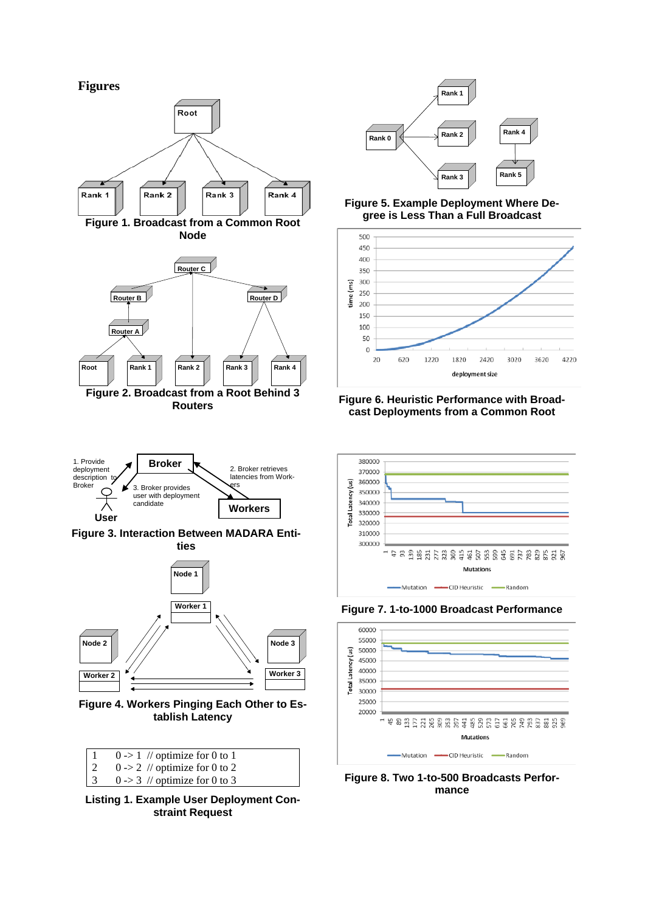



**Figure 4. Workers Pinging Each Other to Establish Latency**

| 1 0 -> 1 // optimize for 0 to 1<br>2 0 -> 2 // optimize for 0 to 2<br>3 0 -> 3 // optimize for 0 to 3 |
|-------------------------------------------------------------------------------------------------------|
|                                                                                                       |
|                                                                                                       |

**Listing 1. Example User Deployment Constraint Request**



## **Figure 5. Example Deployment Where Degree is Less Than a Full Broadcast**



**Figure 6. Heuristic Performance with Broadcast Deployments from a Common Root**



**Figure 7. 1-to-1000 Broadcast Performance**



**Figure 8. Two 1-to-500 Broadcasts Performance**

# **Figures**